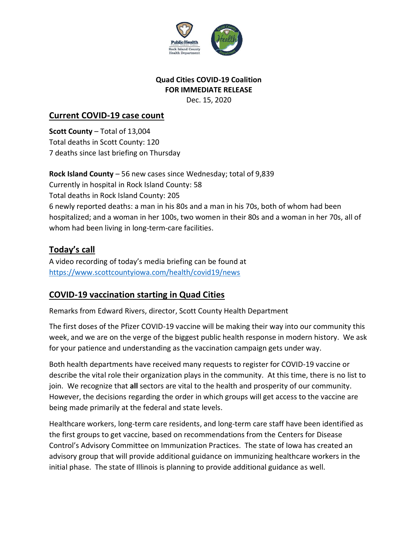

#### **Quad Cities COVID-19 Coalition FOR IMMEDIATE RELEASE** Dec. 15, 2020

#### **Current COVID-19 case count**

**Scott County** – Total of 13,004 Total deaths in Scott County: 120 7 deaths since last briefing on Thursday

**Rock Island County** – 56 new cases since Wednesday; total of 9,839 Currently in hospital in Rock Island County: 58 Total deaths in Rock Island County: 205 6 newly reported deaths: a man in his 80s and a man in his 70s, both of whom had been hospitalized; and a woman in her 100s, two women in their 80s and a woman in her 70s, all of whom had been living in long-term-care facilities.

# **Today's call**

A video recording of today's media briefing can be found at <https://www.scottcountyiowa.com/health/covid19/news>

## **COVID-19 vaccination starting in Quad Cities**

Remarks from Edward Rivers, director, Scott County Health Department

The first doses of the Pfizer COVID-19 vaccine will be making their way into our community this week, and we are on the verge of the biggest public health response in modern history. We ask for your patience and understanding as the vaccination campaign gets under way.

Both health departments have received many requests to register for COVID-19 vaccine or describe the vital role their organization plays in the community. At this time, there is no list to join. We recognize that **all** sectors are vital to the health and prosperity of our community. However, the decisions regarding the order in which groups will get access to the vaccine are being made primarily at the federal and state levels.

Healthcare workers, long-term care residents, and long-term care staff have been identified as the first groups to get vaccine, based on recommendations from the Centers for Disease Control's Advisory Committee on Immunization Practices. The state of Iowa has created an advisory group that will provide additional guidance on immunizing healthcare workers in the initial phase. The state of Illinois is planning to provide additional guidance as well.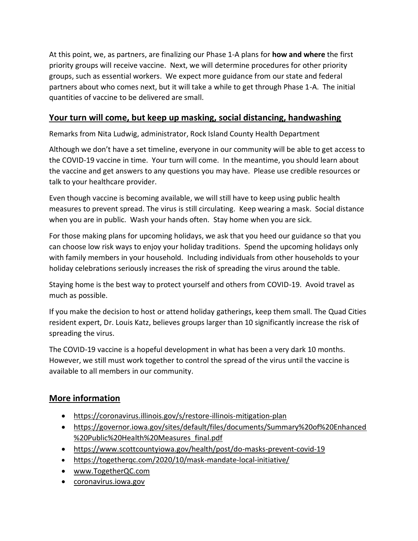At this point, we, as partners, are finalizing our Phase 1-A plans for **how and where** the first priority groups will receive vaccine. Next, we will determine procedures for other priority groups, such as essential workers. We expect more guidance from our state and federal partners about who comes next, but it will take a while to get through Phase 1-A. The initial quantities of vaccine to be delivered are small.

## **Your turn will come, but keep up masking, social distancing, handwashing**

Remarks from Nita Ludwig, administrator, Rock Island County Health Department

Although we don't have a set timeline, everyone in our community will be able to get access to the COVID-19 vaccine in time. Your turn will come. In the meantime, you should learn about the vaccine and get answers to any questions you may have. Please use credible resources or talk to your healthcare provider.

Even though vaccine is becoming available, we will still have to keep using public health measures to prevent spread. The virus is still circulating. Keep wearing a mask. Social distance when you are in public. Wash your hands often. Stay home when you are sick.

For those making plans for upcoming holidays, we ask that you heed our guidance so that you can choose low risk ways to enjoy your holiday traditions. Spend the upcoming holidays only with family members in your household. Including individuals from other households to your holiday celebrations seriously increases the risk of spreading the virus around the table.

Staying home is the best way to protect yourself and others from COVID-19. Avoid travel as much as possible.

If you make the decision to host or attend holiday gatherings, keep them small. The Quad Cities resident expert, Dr. Louis Katz, believes groups larger than 10 significantly increase the risk of spreading the virus.

The COVID-19 vaccine is a hopeful development in what has been a very dark 10 months. However, we still must work together to control the spread of the virus until the vaccine is available to all members in our community.

### **More information**

- <https://coronavirus.illinois.gov/s/restore-illinois-mitigation-plan>
- [https://governor.iowa.gov/sites/default/files/documents/Summary%20of%20Enhanced](https://governor.iowa.gov/sites/default/files/documents/Summary%20of%20Enhanced%20Public%20Health%20Measures_final.pdf) [%20Public%20Health%20Measures\\_final.pdf](https://governor.iowa.gov/sites/default/files/documents/Summary%20of%20Enhanced%20Public%20Health%20Measures_final.pdf)
- <https://www.scottcountyiowa.gov/health/post/do-masks-prevent-covid-19>
- <https://togetherqc.com/2020/10/mask-mandate-local-initiative/>
- [www.TogetherQC.com](http://www.togetherqc.com/)
- [coronavirus.iowa.gov](https://coronavirus.iowa.gov/)